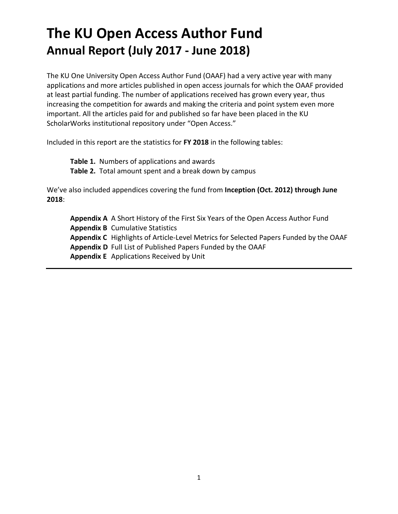# **The KU Open Access Author Fund Annual Report (July 2017 - June 2018)**

The KU One University Open Access Author Fund (OAAF) had a very active year with many applications and more articles published in open access journals for which the OAAF provided at least partial funding. The number of applications received has grown every year, thus increasing the competition for awards and making the criteria and point system even more important. All the articles paid for and published so far have been placed in the KU ScholarWorks institutional repository under "Open Access."

Included in this report are the statistics for **FY 2018** in the following tables:

**Table 1.** Numbers of applications and awards

**Table 2.** Total amount spent and a break down by campus

We've also included appendices covering the fund from **Inception (Oct. 2012) through June 2018**:

**Appendix A** A Short History of the First Six Years of the Open Access Author Fund **Appendix B** Cumulative Statistics **Appendix C** Highlights of Article-Level Metrics for Selected Papers Funded by the OAAF **Appendix D** Full List of Published Papers Funded by the OAAF **Appendix E** Applications Received by Unit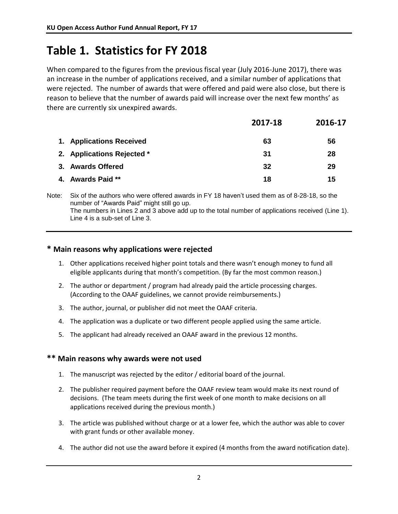# **Table 1. Statistics for FY 2018**

When compared to the figures from the previous fiscal year (July 2016-June 2017), there was an increase in the number of applications received, and a similar number of applications that were rejected. The number of awards that were offered and paid were also close, but there is reason to believe that the number of awards paid will increase over the next few months' as there are currently six unexpired awards.

|                            | 2017-18 | 2016-17 |
|----------------------------|---------|---------|
| 1. Applications Received   | 63      | 56      |
| 2. Applications Rejected * | 31      | 28      |
| 3. Awards Offered          | 32      | 29      |
| 4. Awards Paid **          | 18      | 15      |

Note: Six of the authors who were offered awards in FY 18 haven't used them as of 8-28-18, so the number of "Awards Paid" might still go up. The numbers in Lines 2 and 3 above add up to the total number of applications received (Line 1). Line 4 is a sub-set of Line 3.

#### **\* Main reasons why applications were rejected**

- 1. Other applications received higher point totals and there wasn't enough money to fund all eligible applicants during that month's competition. (By far the most common reason.)
- 2. The author or department / program had already paid the article processing charges. (According to the OAAF guidelines, we cannot provide reimbursements.)
- 3. The author, journal, or publisher did not meet the OAAF criteria.
- 4. The application was a duplicate or two different people applied using the same article.
- 5. The applicant had already received an OAAF award in the previous 12 months.

#### **\*\* Main reasons why awards were not used**

- 1. The manuscript was rejected by the editor / editorial board of the journal.
- 2. The publisher required payment before the OAAF review team would make its next round of decisions. (The team meets during the first week of one month to make decisions on all applications received during the previous month.)
- 3. The article was published without charge or at a lower fee, which the author was able to cover with grant funds or other available money.
- 4. The author did not use the award before it expired (4 months from the award notification date).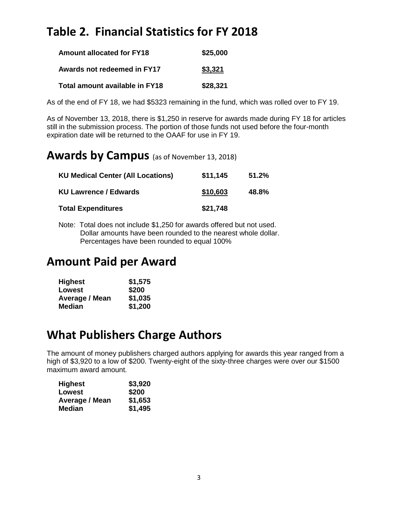# **Table 2. Financial Statistics for FY 2018**

| <b>Amount allocated for FY18</b> | \$25,000 |
|----------------------------------|----------|
| Awards not redeemed in FY17      | \$3,321  |
| Total amount available in FY18   | \$28,321 |

As of the end of FY 18, we had \$5323 remaining in the fund, which was rolled over to FY 19.

As of November 13, 2018, there is \$1,250 in reserve for awards made during FY 18 for articles still in the submission process. The portion of those funds not used before the four-month expiration date will be returned to the OAAF for use in FY 19.

## **Awards by Campus** (as of November 13, 2018)

| <b>KU Medical Center (All Locations)</b> | \$11,145 | $51.2\%$ |
|------------------------------------------|----------|----------|
| <b>KU Lawrence / Edwards</b>             | \$10,603 | 48.8%    |
| <b>Total Expenditures</b>                | \$21,748 |          |

Note: Total does not include \$1,250 for awards offered but not used. Dollar amounts have been rounded to the nearest whole dollar. Percentages have been rounded to equal 100%

## **Amount Paid per Award**

| <b>Highest</b> | \$1,575 |
|----------------|---------|
| <b>Lowest</b>  | \$200   |
| Average / Mean | \$1,035 |
| Median         | \$1,200 |

## **What Publishers Charge Authors**

The amount of money publishers charged authors applying for awards this year ranged from a high of \$3,920 to a low of \$200. Twenty-eight of the sixty-three charges were over our \$1500 maximum award amount.

| <b>Highest</b> | \$3,920 |
|----------------|---------|
| Lowest         | \$200   |
| Average / Mean | \$1,653 |
| Median         | \$1,495 |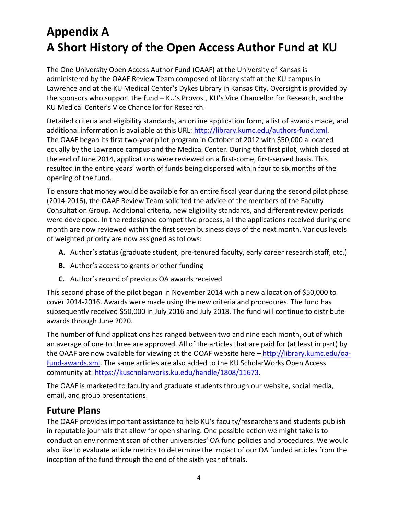# **Appendix A A Short History of the Open Access Author Fund at KU**

The One University Open Access Author Fund (OAAF) at the University of Kansas is administered by the OAAF Review Team composed of library staff at the KU campus in Lawrence and at the KU Medical Center's Dykes Library in Kansas City. Oversight is provided by the sponsors who support the fund – KU's Provost, KU's Vice Chancellor for Research, and the KU Medical Center's Vice Chancellor for Research.

Detailed criteria and eligibility standards, an online application form, a list of awards made, and additional information is available at this URL: [http://library.kumc.edu/authors-fund.xml.](http://library.kumc.edu/authors-fund.xml) The OAAF began its first two-year pilot program in October of 2012 with \$50,000 allocated equally by the Lawrence campus and the Medical Center. During that first pilot, which closed at the end of June 2014, applications were reviewed on a first-come, first-served basis. This resulted in the entire years' worth of funds being dispersed within four to six months of the opening of the fund.

To ensure that money would be available for an entire fiscal year during the second pilot phase (2014-2016), the OAAF Review Team solicited the advice of the members of the Faculty Consultation Group. Additional criteria, new eligibility standards, and different review periods were developed. In the redesigned competitive process, all the applications received during one month are now reviewed within the first seven business days of the next month. Various levels of weighted priority are now assigned as follows:

- **A.** Author's status (graduate student, pre-tenured faculty, early career research staff, etc.)
- **B.** Author's access to grants or other funding
- **C.** Author's record of previous OA awards received

This second phase of the pilot began in November 2014 with a new allocation of \$50,000 to cover 2014-2016. Awards were made using the new criteria and procedures. The fund has subsequently received \$50,000 in July 2016 and July 2018. The fund will continue to distribute awards through June 2020.

The number of fund applications has ranged between two and nine each month, out of which an average of one to three are approved. All of the articles that are paid for (at least in part) by the OAAF are now available for viewing at the OOAF website here – [http://library.kumc.edu/oa](http://library.kumc.edu/oa-fund-awards.xml)[fund-awards.xml.](http://library.kumc.edu/oa-fund-awards.xml) The same articles are also added to the KU ScholarWorks Open Access community at: [https://kuscholarworks.ku.edu/handle/1808/11673.](https://kuscholarworks.ku.edu/handle/1808/11673)

The OAAF is marketed to faculty and graduate students through our website, social media, email, and group presentations.

### **Future Plans**

The OAAF provides important assistance to help KU's faculty/researchers and students publish in reputable journals that allow for open sharing. One possible action we might take is to conduct an environment scan of other universities' OA fund policies and procedures. We would also like to evaluate article metrics to determine the impact of our OA funded articles from the inception of the fund through the end of the sixth year of trials.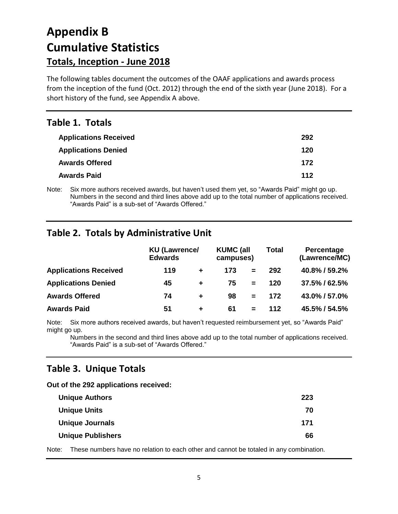# **Appendix B Cumulative Statistics Totals, Inception - June 2018**

The following tables document the outcomes of the OAAF applications and awards process from the inception of the fund (Oct. 2012) through the end of the sixth year (June 2018). For a short history of the fund, see Appendix A above.

#### **Table 1. Totals**

| <b>Applications Received</b> | 292 |
|------------------------------|-----|
| <b>Applications Denied</b>   | 120 |
| <b>Awards Offered</b>        | 172 |
| <b>Awards Paid</b>           | 112 |

Note: Six more authors received awards, but haven't used them yet, so "Awards Paid" might go up. Numbers in the second and third lines above add up to the total number of applications received. "Awards Paid" is a sub-set of "Awards Offered."

### **Table 2. Totals by Administrative Unit**

|                              | <b>Edwards</b> | <b>KU (Lawrence/</b> |     |     | Total | Percentage<br>(Lawrence/MC) |
|------------------------------|----------------|----------------------|-----|-----|-------|-----------------------------|
| <b>Applications Received</b> | 119            | $\pm$                | 173 | $=$ | 292   | 40.8% / 59.2%               |
| <b>Applications Denied</b>   | 45             | ÷                    | 75  | $=$ | 120   | 37.5% / 62.5%               |
| <b>Awards Offered</b>        | 74             | ÷                    | 98  | $=$ | 172   | 43.0% / 57.0%               |
| <b>Awards Paid</b>           | 51             | ÷                    | 61  |     | 112   | 45.5% / 54.5%               |

Note: Six more authors received awards, but haven't requested reimbursement yet, so "Awards Paid" might go up.

Numbers in the second and third lines above add up to the total number of applications received. "Awards Paid" is a sub-set of "Awards Offered."

### **Table 3. Unique Totals**

**Out of the 292 applications received:**

| <b>Unique Authors</b>    | 223 |
|--------------------------|-----|
| <b>Unique Units</b>      | 70  |
| <b>Unique Journals</b>   | 171 |
| <b>Unique Publishers</b> | 66  |

Note: These numbers have no relation to each other and cannot be totaled in any combination.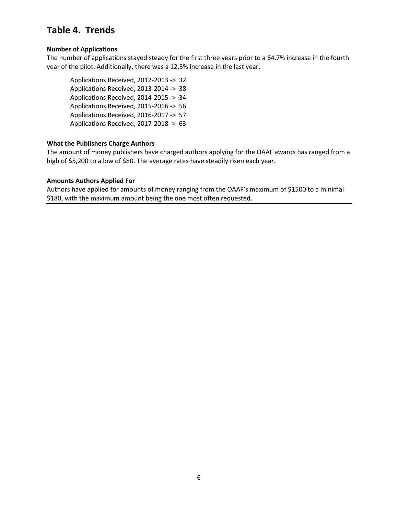### **Table 4. Trends**

#### **Number of Applications**

The number of applications stayed steady for the first three years prior to a 64.7% increase in the fourth year of the pilot. Additionally, there was a 12.5% increase in the last year.

Applications Received, 2012-2013 -> 32 Applications Received, 2013-2014 -> 38 Applications Received, 2014-2015 -> 34 Applications Received, 2015-2016 -> 56 Applications Received, 2016-2017 -> 57 Applications Received, 2017-2018 -> 63

#### **What the Publishers Charge Authors**

The amount of money publishers have charged authors applying for the OAAF awards has ranged from a high of \$5,200 to a low of \$80. The average rates have steadily risen each year.

#### **Amounts Authors Applied For**

Authors have applied for amounts of money ranging from the OAAF's maximum of \$1500 to a minimal \$180, with the maximum amount being the one most often requested.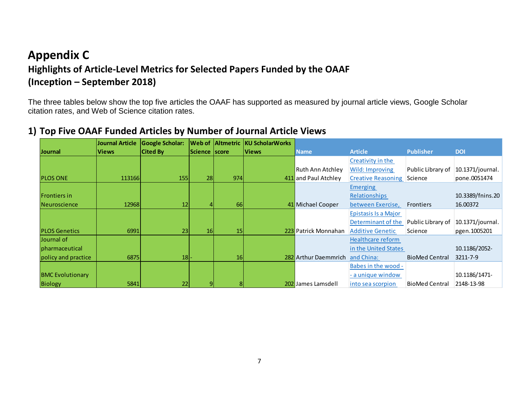## **Appendix C Highlights of Article-Level Metrics for Selected Papers Funded by the OAAF (Inception – September 2018)**

The three tables below show the top five articles the OAAF has supported as measured by journal article views, Google Scholar citation rates, and Web of Science citation rates.

## **1) Top Five OAAF Funded Articles by Number of Journal Article Views**

|                         | Journal Article | <b>Google Scholar:</b> |                 |     | <b>Web of Altmetric KU ScholarWorks</b> |                         |                                   |                       |                  |
|-------------------------|-----------------|------------------------|-----------------|-----|-----------------------------------------|-------------------------|-----------------------------------|-----------------------|------------------|
| <b>Journal</b>          | Views           | <b>Cited By</b>        | Science   score |     | <b>Views</b>                            | <b>Name</b>             | <b>Article</b>                    | <b>Publisher</b>      | <b>DOI</b>       |
|                         |                 |                        |                 |     |                                         |                         | Creativity in the                 |                       |                  |
|                         |                 |                        |                 |     |                                         | <b>Ruth Ann Atchley</b> | Wild: Improving                   | Public Library of     | 10.1371/journal. |
| <b>PLOS ONE</b>         | 113166          | <b>155</b>             | 28              | 974 |                                         | 411 and Paul Atchley    | <b>Creative Reasoning Science</b> |                       | pone.0051474     |
|                         |                 |                        |                 |     |                                         |                         | <b>Emerging</b>                   |                       |                  |
| Frontiers in            |                 |                        |                 |     |                                         |                         | Relationships                     |                       | 10.3389/fnins.20 |
| Neuroscience            | 12968           | 12                     |                 | 66  |                                         | 41 Michael Cooper       | between Exercise,                 | Frontiers             | 16.00372         |
|                         |                 |                        |                 |     |                                         |                         | Epistasis Is a Major              |                       |                  |
|                         |                 |                        |                 |     |                                         |                         | Determinant of the                | Public Library of     | 10.1371/journal. |
| <b>PLOS Genetics</b>    | 6991            | 23                     | 16              | 15  |                                         | 223 Patrick Monnahan    | <b>Additive Genetic</b>           | Science               | pgen.1005201     |
| Journal of              |                 |                        |                 |     |                                         |                         | Healthcare reform                 |                       |                  |
| pharmaceutical          |                 |                        |                 |     |                                         |                         | in the United States              |                       | 10.1186/2052-    |
| policy and practice     | 6875            | $18$ -                 |                 | 16  |                                         | 282 Arthur Daemmrich    | and China:                        | <b>BioMed Central</b> | 3211-7-9         |
|                         |                 |                        |                 |     |                                         |                         | Babes in the wood -               |                       |                  |
| <b>BMC Evolutionary</b> |                 |                        |                 |     |                                         |                         | - a unique window                 |                       | 10.1186/1471-    |
| <b>Biology</b>          | 5841            | 22                     |                 | 8   |                                         | 202 James Lamsdell      | into sea scorpion                 | <b>BioMed Central</b> | 2148-13-98       |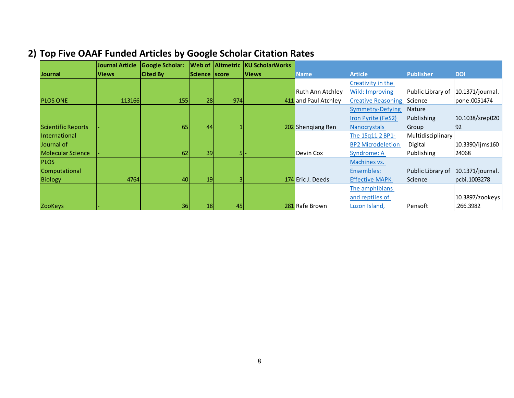|                          | Journal Article | <b>Google Scholar:</b> |                 |     | <b>Web of Altmetric KU ScholarWorks</b> |                         |                           |                                    |                  |
|--------------------------|-----------------|------------------------|-----------------|-----|-----------------------------------------|-------------------------|---------------------------|------------------------------------|------------------|
| Journal                  | <b>Views</b>    | <b>Cited By</b>        | Science   score |     | <b>Views</b>                            | <b>Name</b>             | <b>Article</b>            | <b>Publisher</b>                   | <b>DOI</b>       |
|                          |                 |                        |                 |     |                                         |                         | Creativity in the         |                                    |                  |
|                          |                 |                        |                 |     |                                         | <b>Ruth Ann Atchley</b> | Wild: Improving           | Public Library of                  | 10.1371/journal. |
| <b>PLOS ONE</b>          | 113166          | <b>155</b>             | 28              | 974 |                                         | 411 and Paul Atchley    | <b>Creative Reasoning</b> | Science                            | pone.0051474     |
|                          |                 |                        |                 |     |                                         |                         | Symmetry-Defying          | <b>Nature</b>                      |                  |
|                          |                 |                        |                 |     |                                         |                         | Iron Pyrite (FeS2)        | Publishing                         | 10.1038/srep020  |
| Scientific Reports       |                 | 65                     | 44              |     |                                         | 202 Shengiang Ren       | <b>Nanocrystals</b>       | Group                              | 92               |
| International            |                 |                        |                 |     |                                         |                         | The 15q11.2 BP1-          | Multidisciplinary                  |                  |
| Journal of               |                 |                        |                 |     |                                         |                         | <b>BP2 Microdeletion</b>  | Digital                            | 10.3390/ijms160  |
| <b>Molecular Science</b> |                 | 62                     | 39              |     |                                         | Devin Cox               | Syndrome: A               | Publishing                         | 24068            |
| <b>PLOS</b>              |                 |                        |                 |     |                                         |                         | Machines vs.              |                                    |                  |
| Computational            |                 |                        |                 |     |                                         |                         | Ensembles:                | Public Library of 10.1371/journal. |                  |
| Biology                  | 4764            | 40                     | 19              |     |                                         | 174 Eric J. Deeds       | <b>Effective MAPK</b>     | Science                            | pcbi.1003278     |
|                          |                 |                        |                 |     |                                         |                         | The amphibians            |                                    |                  |
|                          |                 |                        |                 |     |                                         |                         | and reptiles of           |                                    | 10.3897/zookeys  |
| <b>ZooKeys</b>           |                 | 36                     | 18              | 45  |                                         | 281 Rafe Brown          | Luzon Island,             | Pensoft                            | .266.3982        |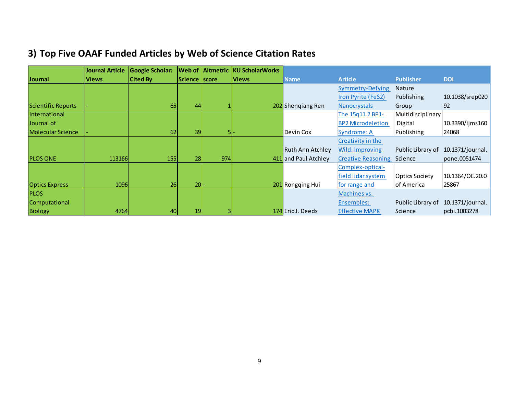|                          | Journal Article | Google Scholar: |                 | <b>Web of Altmetric</b> | <b>KU ScholarWorks</b> |                         |                           |                       |                  |
|--------------------------|-----------------|-----------------|-----------------|-------------------------|------------------------|-------------------------|---------------------------|-----------------------|------------------|
| Journal                  | <b>Views</b>    | <b>Cited By</b> | Science   score |                         | <b>Views</b>           | <b>Name</b>             | <b>Article</b>            | <b>Publisher</b>      | <b>DOI</b>       |
|                          |                 |                 |                 |                         |                        |                         | Symmetry-Defying          | <b>Nature</b>         |                  |
|                          |                 |                 |                 |                         |                        |                         | Iron Pyrite (FeS2)        | Publishing            | 10.1038/srep020  |
| Scientific Reports       |                 | 65              | 44              |                         |                        | 202 Shengiang Ren       | <b>Nanocrystals</b>       | Group                 | 92               |
| International            |                 |                 |                 |                         |                        |                         | The 15q11.2 BP1-          | Multidisciplinary     |                  |
| Journal of               |                 |                 |                 |                         |                        |                         | <b>BP2 Microdeletion</b>  | Digital               | 10.3390/ijms160  |
| <b>Molecular Science</b> |                 | 62              | 39              |                         |                        | Devin Cox               | Syndrome: A               | Publishing            | 24068            |
|                          |                 |                 |                 |                         |                        |                         | Creativity in the         |                       |                  |
|                          |                 |                 |                 |                         |                        | <b>Ruth Ann Atchley</b> | Wild: Improving           | Public Library of     | 10.1371/journal. |
| <b>PLOS ONE</b>          | 113166          | <b>155</b>      | 28              | 974                     |                        | 411 and Paul Atchley    | <b>Creative Reasoning</b> | Science               | pone.0051474     |
|                          |                 |                 |                 |                         |                        |                         | Complex-optical-          |                       |                  |
|                          |                 |                 |                 |                         |                        |                         | field lidar system        | <b>Optics Society</b> | 10.1364/OE.20.0  |
| <b>Optics Express</b>    | 1096            | 26              | $20$ -          |                         |                        | 201 Rongqing Hui        | for range and             | of America            | 25867            |
| <b>PLOS</b>              |                 |                 |                 |                         |                        |                         | Machines vs.              |                       |                  |
| Computational            |                 |                 |                 |                         |                        |                         | Ensembles:                | Public Library of     | 10.1371/journal. |
| <b>Biology</b>           | 4764            | 40              | 19 <sup>1</sup> |                         |                        | 174 Eric J. Deeds       | <b>Effective MAPK</b>     | Science               | pcbi.1003278     |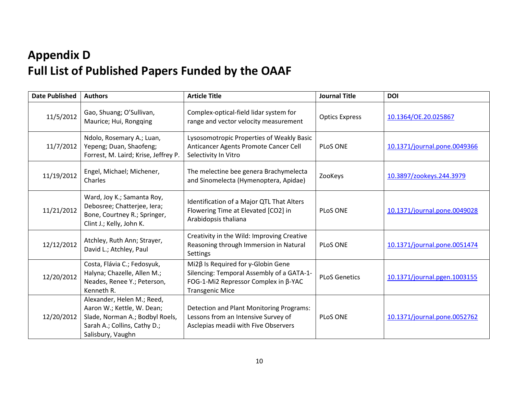# **Appendix D Full List of Published Papers Funded by the OAAF**

| <b>Date Published</b> | <b>Authors</b>                                                                                                                                   | <b>Article Title</b>                                                                                                                              | <b>Journal Title</b>  | <b>DOI</b>                   |
|-----------------------|--------------------------------------------------------------------------------------------------------------------------------------------------|---------------------------------------------------------------------------------------------------------------------------------------------------|-----------------------|------------------------------|
| 11/5/2012             | Gao, Shuang; O'Sullivan,<br>Maurice; Hui, Rongqing                                                                                               | Complex-optical-field lidar system for<br>range and vector velocity measurement                                                                   | <b>Optics Express</b> | 10.1364/OE.20.025867         |
| 11/7/2012             | Ndolo, Rosemary A.; Luan,<br>Yepeng; Duan, Shaofeng;<br>Forrest, M. Laird; Krise, Jeffrey P.                                                     | Lysosomotropic Properties of Weakly Basic<br>Anticancer Agents Promote Cancer Cell<br>Selectivity In Vitro                                        | <b>PLoS ONE</b>       | 10.1371/journal.pone.0049366 |
| 11/19/2012            | Engel, Michael; Michener,<br>Charles                                                                                                             | The melectine bee genera Brachymelecta<br>and Sinomelecta (Hymenoptera, Apidae)                                                                   | ZooKeys               | 10.3897/zookeys.244.3979     |
| 11/21/2012            | Ward, Joy K.; Samanta Roy,<br>Debosree; Chatterjee, Iera;<br>Bone, Courtney R.; Springer,<br>Clint J.; Kelly, John K.                            | Identification of a Major QTL That Alters<br>Flowering Time at Elevated [CO2] in<br>Arabidopsis thaliana                                          | <b>PLOS ONE</b>       | 10.1371/journal.pone.0049028 |
| 12/12/2012            | Atchley, Ruth Ann; Strayer,<br>David L.; Atchley, Paul                                                                                           | Creativity in the Wild: Improving Creative<br>Reasoning through Immersion in Natural<br>Settings                                                  | <b>PLOS ONE</b>       | 10.1371/journal.pone.0051474 |
| 12/20/2012            | Costa, Flávia C.; Fedosyuk,<br>Halyna; Chazelle, Allen M.;<br>Neades, Renee Y.; Peterson,<br>Kenneth R.                                          | Mi2β Is Required for y-Globin Gene<br>Silencing: Temporal Assembly of a GATA-1-<br>FOG-1-Mi2 Repressor Complex in β-YAC<br><b>Transgenic Mice</b> | <b>PLoS Genetics</b>  | 10.1371/journal.pgen.1003155 |
| 12/20/2012            | Alexander, Helen M.; Reed,<br>Aaron W.; Kettle, W. Dean;<br>Slade, Norman A.; Bodbyl Roels,<br>Sarah A.; Collins, Cathy D.;<br>Salisbury, Vaughn | Detection and Plant Monitoring Programs:<br>Lessons from an Intensive Survey of<br>Asclepias meadii with Five Observers                           | PLoS ONE              | 10.1371/journal.pone.0052762 |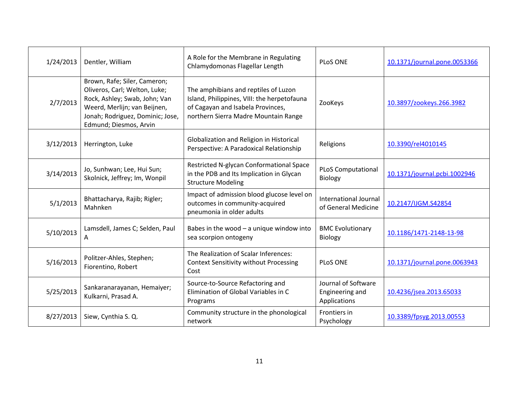| 1/24/2013 | Dentler, William                                                                                                                                                                             | A Role for the Membrane in Regulating<br>Chlamydomonas Flagellar Length                                                                                          | <b>PLOS ONE</b>                                        | 10.1371/journal.pone.0053366 |
|-----------|----------------------------------------------------------------------------------------------------------------------------------------------------------------------------------------------|------------------------------------------------------------------------------------------------------------------------------------------------------------------|--------------------------------------------------------|------------------------------|
| 2/7/2013  | Brown, Rafe; Siler, Cameron;<br>Oliveros, Carl; Welton, Luke;<br>Rock, Ashley; Swab, John; Van<br>Weerd, Merlijn; van Beijnen,<br>Jonah; Rodriguez, Dominic; Jose,<br>Edmund; Diesmos, Arvin | The amphibians and reptiles of Luzon<br>Island, Philippines, VIII: the herpetofauna<br>of Cagayan and Isabela Provinces,<br>northern Sierra Madre Mountain Range | ZooKeys                                                | 10.3897/zookeys.266.3982     |
| 3/12/2013 | Herrington, Luke                                                                                                                                                                             | Globalization and Religion in Historical<br>Perspective: A Paradoxical Relationship                                                                              | Religions                                              | 10.3390/rel4010145           |
| 3/14/2013 | Jo, Sunhwan; Lee, Hui Sun;<br>Skolnick, Jeffrey; Im, Wonpil                                                                                                                                  | Restricted N-glycan Conformational Space<br>in the PDB and Its Implication in Glycan<br><b>Structure Modeling</b>                                                | <b>PLoS Computational</b><br><b>Biology</b>            | 10.1371/journal.pcbi.1002946 |
| 5/1/2013  | Bhattacharya, Rajib; Rigler;<br>Mahnken                                                                                                                                                      | Impact of admission blood glucose level on<br>outcomes in community-acquired<br>pneumonia in older adults                                                        | <b>International Journal</b><br>of General Medicine    | 10.2147/IJGM.S42854          |
| 5/10/2013 | Lamsdell, James C; Selden, Paul<br>A                                                                                                                                                         | Babes in the wood $-$ a unique window into<br>sea scorpion ontogeny                                                                                              | <b>BMC Evolutionary</b><br>Biology                     | 10.1186/1471-2148-13-98      |
| 5/16/2013 | Politzer-Ahles, Stephen;<br>Fiorentino, Robert                                                                                                                                               | The Realization of Scalar Inferences:<br><b>Context Sensitivity without Processing</b><br>Cost                                                                   | <b>PLOS ONE</b>                                        | 10.1371/journal.pone.0063943 |
| 5/25/2013 | Sankaranarayanan, Hemaiyer;<br>Kulkarni, Prasad A.                                                                                                                                           | Source-to-Source Refactoring and<br>Elimination of Global Variables in C<br>Programs                                                                             | Journal of Software<br>Engineering and<br>Applications | 10.4236/jsea.2013.65033      |
| 8/27/2013 | Siew, Cynthia S. Q.                                                                                                                                                                          | Community structure in the phonological<br>network                                                                                                               | Frontiers in<br>Psychology                             | 10.3389/fpsyg.2013.00553     |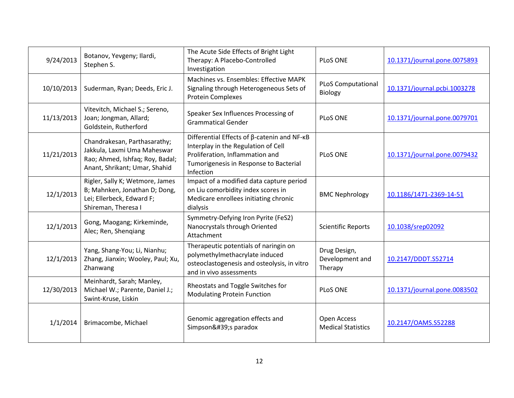| 9/24/2013  | Botanov, Yevgeny; Ilardi,<br>Stephen S.                                                                                         | The Acute Side Effects of Bright Light<br>Therapy: A Placebo-Controlled<br>Investigation                                                                                                     | <b>PLOS ONE</b>                            | 10.1371/journal.pone.0075893 |
|------------|---------------------------------------------------------------------------------------------------------------------------------|----------------------------------------------------------------------------------------------------------------------------------------------------------------------------------------------|--------------------------------------------|------------------------------|
| 10/10/2013 | Suderman, Ryan; Deeds, Eric J.                                                                                                  | Machines vs. Ensembles: Effective MAPK<br>Signaling through Heterogeneous Sets of<br><b>Protein Complexes</b>                                                                                | <b>PLoS Computational</b><br>Biology       | 10.1371/journal.pcbi.1003278 |
| 11/13/2013 | Vitevitch, Michael S.; Sereno,<br>Joan; Jongman, Allard;<br>Goldstein, Rutherford                                               | Speaker Sex Influences Processing of<br><b>Grammatical Gender</b>                                                                                                                            | <b>PLoS ONE</b>                            | 10.1371/journal.pone.0079701 |
| 11/21/2013 | Chandrakesan, Parthasarathy;<br>Jakkula, Laxmi Uma Maheswar<br>Rao; Ahmed, Ishfaq; Roy, Badal;<br>Anant, Shrikant; Umar, Shahid | Differential Effects of $\beta$ -catenin and NF- $\kappa$ B<br>Interplay in the Regulation of Cell<br>Proliferation, Inflammation and<br>Tumorigenesis in Response to Bacterial<br>Infection | <b>PLoS ONE</b>                            | 10.1371/journal.pone.0079432 |
| 12/1/2013  | Rigler, Sally K; Wetmore, James<br>B; Mahnken, Jonathan D; Dong,<br>Lei; Ellerbeck, Edward F;<br>Shireman, Theresa I            | Impact of a modified data capture period<br>on Liu comorbidity index scores in<br>Medicare enrollees initiating chronic<br>dialysis                                                          | <b>BMC Nephrology</b>                      | 10.1186/1471-2369-14-51      |
| 12/1/2013  | Gong, Maogang; Kirkeminde,<br>Alec; Ren, Shengiang                                                                              | Symmetry-Defying Iron Pyrite (FeS2)<br>Nanocrystals through Oriented<br>Attachment                                                                                                           | <b>Scientific Reports</b>                  | 10.1038/srep02092            |
| 12/1/2013  | Yang, Shang-You; Li, Nianhu;<br>Zhang, Jianxin; Wooley, Paul; Xu,<br>Zhanwang                                                   | Therapeutic potentials of naringin on<br>polymethylmethacrylate induced<br>osteoclastogenesis and osteolysis, in vitro<br>and in vivo assessments                                            | Drug Design,<br>Development and<br>Therapy | 10.2147/DDDT.S52714          |
| 12/30/2013 | Meinhardt, Sarah; Manley,<br>Michael W.; Parente, Daniel J.;<br>Swint-Kruse, Liskin                                             | Rheostats and Toggle Switches for<br><b>Modulating Protein Function</b>                                                                                                                      | <b>PLoS ONE</b>                            | 10.1371/journal.pone.0083502 |
| 1/1/2014   | Brimacombe, Michael                                                                                                             | Genomic aggregation effects and<br>Simpson's paradox                                                                                                                                         | Open Access<br><b>Medical Statistics</b>   | 10.2147/OAMS.S52288          |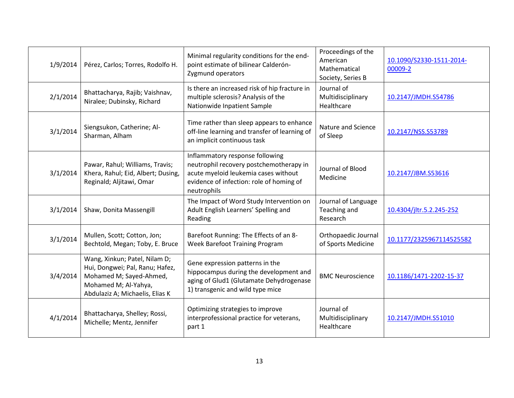| 1/9/2014 | Pérez, Carlos; Torres, Rodolfo H.                                                                                                                      | Minimal regularity conditions for the end-<br>point estimate of bilinear Calderón-<br>Zygmund operators                                                                       | Proceedings of the<br>American<br>Mathematical<br>Society, Series B | 10.1090/S2330-1511-2014-<br>00009-2 |
|----------|--------------------------------------------------------------------------------------------------------------------------------------------------------|-------------------------------------------------------------------------------------------------------------------------------------------------------------------------------|---------------------------------------------------------------------|-------------------------------------|
| 2/1/2014 | Bhattacharya, Rajib; Vaishnav,<br>Niralee; Dubinsky, Richard                                                                                           | Is there an increased risk of hip fracture in<br>multiple sclerosis? Analysis of the<br>Nationwide Inpatient Sample                                                           | Journal of<br>Multidisciplinary<br>Healthcare                       | 10.2147/JMDH.S54786                 |
| 3/1/2014 | Siengsukon, Catherine; Al-<br>Sharman, Alham                                                                                                           | Time rather than sleep appears to enhance<br>off-line learning and transfer of learning of<br>an implicit continuous task                                                     | Nature and Science<br>of Sleep                                      | 10.2147/NSS.S53789                  |
| 3/1/2014 | Pawar, Rahul; Williams, Travis;<br>Khera, Rahul; Eid, Albert; Dusing,<br>Reginald; Aljitawi, Omar                                                      | Inflammatory response following<br>neutrophil recovery postchemotherapy in<br>acute myeloid leukemia cases without<br>evidence of infection: role of homing of<br>neutrophils | Journal of Blood<br>Medicine                                        | 10.2147/JBM.S53616                  |
| 3/1/2014 | Shaw, Donita Massengill                                                                                                                                | The Impact of Word Study Intervention on<br>Adult English Learners' Spelling and<br>Reading                                                                                   | Journal of Language<br>Teaching and<br>Research                     | 10.4304/jltr.5.2.245-252            |
| 3/1/2014 | Mullen, Scott; Cotton, Jon;<br>Bechtold, Megan; Toby, E. Bruce                                                                                         | Barefoot Running: The Effects of an 8-<br>Week Barefoot Training Program                                                                                                      | Orthopaedic Journal<br>of Sports Medicine                           | 10.1177/2325967114525582            |
| 3/4/2014 | Wang, Xinkun; Patel, Nilam D;<br>Hui, Dongwei; Pal, Ranu; Hafez,<br>Mohamed M; Sayed-Ahmed,<br>Mohamed M; Al-Yahya,<br>Abdulaziz A; Michaelis, Elias K | Gene expression patterns in the<br>hippocampus during the development and<br>aging of Glud1 (Glutamate Dehydrogenase<br>1) transgenic and wild type mice                      | <b>BMC Neuroscience</b>                                             | 10.1186/1471-2202-15-37             |
| 4/1/2014 | Bhattacharya, Shelley; Rossi,<br>Michelle; Mentz, Jennifer                                                                                             | Optimizing strategies to improve<br>interprofessional practice for veterans,<br>part 1                                                                                        | Journal of<br>Multidisciplinary<br>Healthcare                       | 10.2147/JMDH.S51010                 |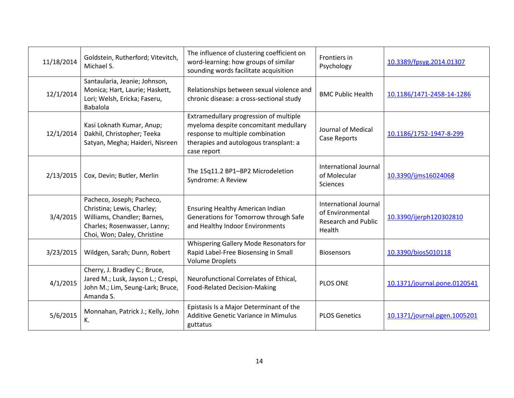| 11/18/2014 | Goldstein, Rutherford; Vitevitch,<br>Michael S.                                                                                                       | The influence of clustering coefficient on<br>word-learning: how groups of similar<br>sounding words facilitate acquisition                                                  | Frontiers in<br>Psychology                                                        | 10.3389/fpsyg.2014.01307     |
|------------|-------------------------------------------------------------------------------------------------------------------------------------------------------|------------------------------------------------------------------------------------------------------------------------------------------------------------------------------|-----------------------------------------------------------------------------------|------------------------------|
| 12/1/2014  | Santaularia, Jeanie; Johnson,<br>Monica; Hart, Laurie; Haskett,<br>Lori; Welsh, Ericka; Faseru,<br><b>Babalola</b>                                    | Relationships between sexual violence and<br>chronic disease: a cross-sectional study                                                                                        | <b>BMC Public Health</b>                                                          | 10.1186/1471-2458-14-1286    |
| 12/1/2014  | Kasi Loknath Kumar, Anup;<br>Dakhil, Christopher; Teeka<br>Satyan, Megha; Haideri, Nisreen                                                            | Extramedullary progression of multiple<br>myeloma despite concomitant medullary<br>response to multiple combination<br>therapies and autologous transplant: a<br>case report | Journal of Medical<br>Case Reports                                                | 10.1186/1752-1947-8-299      |
| 2/13/2015  | Cox, Devin; Butler, Merlin                                                                                                                            | The 15q11.2 BP1-BP2 Microdeletion<br>Syndrome: A Review                                                                                                                      | International Journal<br>of Molecular<br>Sciences                                 | 10.3390/ijms16024068         |
| 3/4/2015   | Pacheco, Joseph; Pacheco,<br>Christina; Lewis, Charley;<br>Williams, Chandler; Barnes,<br>Charles; Rosenwasser, Lanny;<br>Choi, Won; Daley, Christine | Ensuring Healthy American Indian<br>Generations for Tomorrow through Safe<br>and Healthy Indoor Environments                                                                 | International Journal<br>of Environmental<br><b>Research and Public</b><br>Health | 10.3390/ijerph120302810      |
| 3/23/2015  | Wildgen, Sarah; Dunn, Robert                                                                                                                          | Whispering Gallery Mode Resonators for<br>Rapid Label-Free Biosensing in Small<br><b>Volume Droplets</b>                                                                     | <b>Biosensors</b>                                                                 | 10.3390/bios5010118          |
| 4/1/2015   | Cherry, J. Bradley C.; Bruce,<br>Jared M.; Lusk, Jayson L.; Crespi,<br>John M.; Lim, Seung-Lark; Bruce,<br>Amanda S.                                  | Neurofunctional Correlates of Ethical,<br>Food-Related Decision-Making                                                                                                       | <b>PLOS ONE</b>                                                                   | 10.1371/journal.pone.0120541 |
| 5/6/2015   | Monnahan, Patrick J.; Kelly, John<br>к.                                                                                                               | Epistasis Is a Major Determinant of the<br>Additive Genetic Variance in Mimulus<br>guttatus                                                                                  | <b>PLOS Genetics</b>                                                              | 10.1371/journal.pgen.1005201 |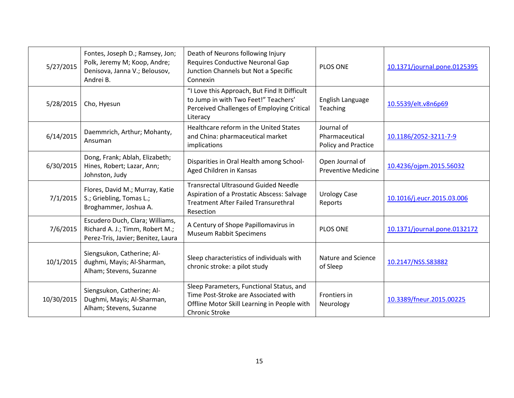| 5/27/2015  | Fontes, Joseph D.; Ramsey, Jon;<br>Polk, Jeremy M; Koop, Andre;<br>Denisova, Janna V.; Belousov,<br>Andrei B. | Death of Neurons following Injury<br>Requires Conductive Neuronal Gap<br>Junction Channels but Not a Specific<br>Connexin                                | <b>PLOS ONE</b>                                     | 10.1371/journal.pone.0125395 |
|------------|---------------------------------------------------------------------------------------------------------------|----------------------------------------------------------------------------------------------------------------------------------------------------------|-----------------------------------------------------|------------------------------|
| 5/28/2015  | Cho, Hyesun                                                                                                   | "I Love this Approach, But Find It Difficult<br>to Jump in with Two Feet!" Teachers'<br>Perceived Challenges of Employing Critical<br>Literacy           | English Language<br>Teaching                        | 10.5539/elt.v8n6p69          |
| 6/14/2015  | Daemmrich, Arthur; Mohanty,<br>Ansuman                                                                        | Healthcare reform in the United States<br>and China: pharmaceutical market<br>implications                                                               | Journal of<br>Pharmaceutical<br>Policy and Practice | 10.1186/2052-3211-7-9        |
| 6/30/2015  | Dong, Frank; Ablah, Elizabeth;<br>Hines, Robert; Lazar, Ann;<br>Johnston, Judy                                | Disparities in Oral Health among School-<br>Aged Children in Kansas                                                                                      | Open Journal of<br><b>Preventive Medicine</b>       | 10.4236/ojpm.2015.56032      |
| 7/1/2015   | Flores, David M.; Murray, Katie<br>S.; Griebling, Tomas L.;<br>Broghammer, Joshua A.                          | <b>Transrectal Ultrasound Guided Needle</b><br>Aspiration of a Prostatic Abscess: Salvage<br><b>Treatment After Failed Transurethral</b><br>Resection    | <b>Urology Case</b><br>Reports                      | 10.1016/j.eucr.2015.03.006   |
| 7/6/2015   | Escudero Duch, Clara; Williams,<br>Richard A. J.; Timm, Robert M.;<br>Perez-Tris, Javier; Benitez, Laura      | A Century of Shope Papillomavirus in<br><b>Museum Rabbit Specimens</b>                                                                                   | <b>PLOS ONE</b>                                     | 10.1371/journal.pone.0132172 |
| 10/1/2015  | Siengsukon, Catherine; Al-<br>dughmi, Mayis; Al-Sharman,<br>Alham; Stevens, Suzanne                           | Sleep characteristics of individuals with<br>chronic stroke: a pilot study                                                                               | Nature and Science<br>of Sleep                      | 10.2147/NSS.S83882           |
| 10/30/2015 | Siengsukon, Catherine; Al-<br>Dughmi, Mayis; Al-Sharman,<br>Alham; Stevens, Suzanne                           | Sleep Parameters, Functional Status, and<br>Time Post-Stroke are Associated with<br>Offline Motor Skill Learning in People with<br><b>Chronic Stroke</b> | Frontiers in<br>Neurology                           | 10.3389/fneur.2015.00225     |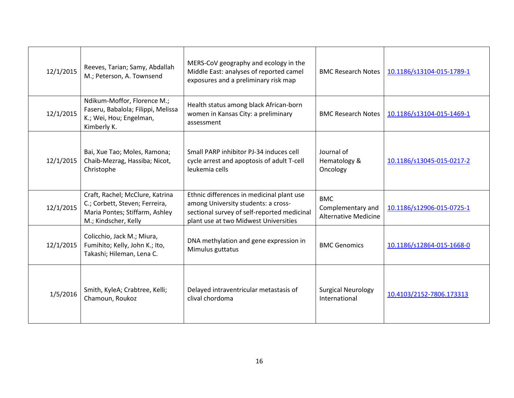| 12/1/2015 | Reeves, Tarian; Samy, Abdallah<br>M.; Peterson, A. Townsend                                                                 | MERS-CoV geography and ecology in the<br>Middle East: analyses of reported camel<br>exposures and a preliminary risk map                                                 | <b>BMC Research Notes</b>                                      | 10.1186/s13104-015-1789-1 |
|-----------|-----------------------------------------------------------------------------------------------------------------------------|--------------------------------------------------------------------------------------------------------------------------------------------------------------------------|----------------------------------------------------------------|---------------------------|
| 12/1/2015 | Ndikum-Moffor, Florence M.;<br>Faseru, Babalola; Filippi, Melissa<br>K.; Wei, Hou; Engelman,<br>Kimberly K.                 | Health status among black African-born<br>women in Kansas City: a preliminary<br>assessment                                                                              | <b>BMC Research Notes</b>                                      | 10.1186/s13104-015-1469-1 |
| 12/1/2015 | Bai, Xue Tao; Moles, Ramona;<br>Chaib-Mezrag, Hassiba; Nicot,<br>Christophe                                                 | Small PARP inhibitor PJ-34 induces cell<br>cycle arrest and apoptosis of adult T-cell<br>leukemia cells                                                                  | Journal of<br>Hematology &<br>Oncology                         | 10.1186/s13045-015-0217-2 |
| 12/1/2015 | Craft, Rachel; McClure, Katrina<br>C.; Corbett, Steven; Ferreira,<br>Maria Pontes; Stiffarm, Ashley<br>M.; Kindscher, Kelly | Ethnic differences in medicinal plant use<br>among University students: a cross-<br>sectional survey of self-reported medicinal<br>plant use at two Midwest Universities | <b>BMC</b><br>Complementary and<br><b>Alternative Medicine</b> | 10.1186/s12906-015-0725-1 |
| 12/1/2015 | Colicchio, Jack M.; Miura,<br>Fumihito; Kelly, John K.; Ito,<br>Takashi; Hileman, Lena C.                                   | DNA methylation and gene expression in<br>Mimulus guttatus                                                                                                               | <b>BMC Genomics</b>                                            | 10.1186/s12864-015-1668-0 |
| 1/5/2016  | Smith, KyleA; Crabtree, Kelli;<br>Chamoun, Roukoz                                                                           | Delayed intraventricular metastasis of<br>clival chordoma                                                                                                                | <b>Surgical Neurology</b><br>International                     | 10.4103/2152-7806.173313  |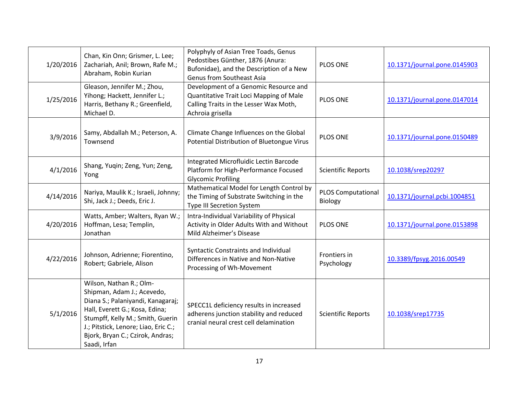| 1/20/2016 | Chan, Kin Onn; Grismer, L. Lee;<br>Zachariah, Anil; Brown, Rafe M.;<br>Abraham, Robin Kurian                                                                                                                                                                 | Polyphyly of Asian Tree Toads, Genus<br>Pedostibes Günther, 1876 (Anura:<br>Bufonidae), and the Description of a New<br>Genus from Southeast Asia | PLOS ONE                             | 10.1371/journal.pone.0145903 |
|-----------|--------------------------------------------------------------------------------------------------------------------------------------------------------------------------------------------------------------------------------------------------------------|---------------------------------------------------------------------------------------------------------------------------------------------------|--------------------------------------|------------------------------|
| 1/25/2016 | Gleason, Jennifer M.; Zhou,<br>Yihong; Hackett, Jennifer L.;<br>Harris, Bethany R.; Greenfield,<br>Michael D.                                                                                                                                                | Development of a Genomic Resource and<br>Quantitative Trait Loci Mapping of Male<br>Calling Traits in the Lesser Wax Moth,<br>Achroia grisella    | PLOS ONE                             | 10.1371/journal.pone.0147014 |
| 3/9/2016  | Samy, Abdallah M.; Peterson, A.<br>Townsend                                                                                                                                                                                                                  | Climate Change Influences on the Global<br>Potential Distribution of Bluetongue Virus                                                             | PLOS ONE                             | 10.1371/journal.pone.0150489 |
| 4/1/2016  | Shang, Yuqin; Zeng, Yun; Zeng,<br>Yong                                                                                                                                                                                                                       | Integrated Microfluidic Lectin Barcode<br>Platform for High-Performance Focused<br><b>Glycomic Profiling</b>                                      | <b>Scientific Reports</b>            | 10.1038/srep20297            |
| 4/14/2016 | Nariya, Maulik K.; Israeli, Johnny;<br>Shi, Jack J.; Deeds, Eric J.                                                                                                                                                                                          | Mathematical Model for Length Control by<br>the Timing of Substrate Switching in the<br>Type III Secretion System                                 | <b>PLOS Computational</b><br>Biology | 10.1371/journal.pcbi.1004851 |
| 4/20/2016 | Watts, Amber; Walters, Ryan W.;<br>Hoffman, Lesa; Templin,<br>Jonathan                                                                                                                                                                                       | Intra-Individual Variability of Physical<br>Activity in Older Adults With and Without<br>Mild Alzheimer's Disease                                 | PLOS ONE                             | 10.1371/journal.pone.0153898 |
| 4/22/2016 | Johnson, Adrienne; Fiorentino,<br>Robert; Gabriele, Alison                                                                                                                                                                                                   | <b>Syntactic Constraints and Individual</b><br>Differences in Native and Non-Native<br>Processing of Wh-Movement                                  | Frontiers in<br>Psychology           | 10.3389/fpsyg.2016.00549     |
| 5/1/2016  | Wilson, Nathan R.; Olm-<br>Shipman, Adam J.; Acevedo,<br>Diana S.; Palaniyandi, Kanagaraj;<br>Hall, Everett G.; Kosa, Edina;<br>Stumpff, Kelly M.; Smith, Guerin<br>J.; Pitstick, Lenore; Liao, Eric C.;<br>Bjork, Bryan C.; Czirok, Andras;<br>Saadi, Irfan | SPECC1L deficiency results in increased<br>adherens junction stability and reduced<br>cranial neural crest cell delamination                      | <b>Scientific Reports</b>            | 10.1038/srep17735            |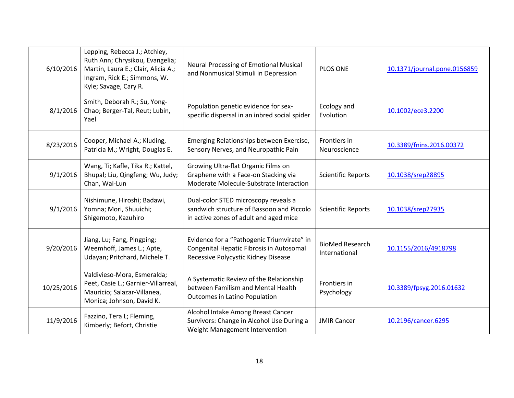| 6/10/2016  | Lepping, Rebecca J.; Atchley,<br>Ruth Ann; Chrysikou, Evangelia;<br>Martin, Laura E.; Clair, Alicia A.;<br>Ingram, Rick E.; Simmons, W.<br>Kyle; Savage, Cary R. | Neural Processing of Emotional Musical<br>and Nonmusical Stimuli in Depression                                                | <b>PLOS ONE</b>                         | 10.1371/journal.pone.0156859 |
|------------|------------------------------------------------------------------------------------------------------------------------------------------------------------------|-------------------------------------------------------------------------------------------------------------------------------|-----------------------------------------|------------------------------|
| 8/1/2016   | Smith, Deborah R.; Su, Yong-<br>Chao; Berger-Tal, Reut; Lubin,<br>Yael                                                                                           | Population genetic evidence for sex-<br>specific dispersal in an inbred social spider                                         | Ecology and<br>Evolution                | 10.1002/ece3.2200            |
| 8/23/2016  | Cooper, Michael A.; Kluding,<br>Patricia M.; Wright, Douglas E.                                                                                                  | Emerging Relationships between Exercise,<br>Sensory Nerves, and Neuropathic Pain                                              | Frontiers in<br>Neuroscience            | 10.3389/fnins.2016.00372     |
| 9/1/2016   | Wang, Ti; Kafle, Tika R.; Kattel,<br>Bhupal; Liu, Qingfeng; Wu, Judy;<br>Chan, Wai-Lun                                                                           | Growing Ultra-flat Organic Films on<br>Graphene with a Face-on Stacking via<br>Moderate Molecule-Substrate Interaction        | <b>Scientific Reports</b>               | 10.1038/srep28895            |
| 9/1/2016   | Nishimune, Hiroshi; Badawi,<br>Yomna; Mori, Shuuichi;<br>Shigemoto, Kazuhiro                                                                                     | Dual-color STED microscopy reveals a<br>sandwich structure of Bassoon and Piccolo<br>in active zones of adult and aged mice   | <b>Scientific Reports</b>               | 10.1038/srep27935            |
| 9/20/2016  | Jiang, Lu; Fang, Pingping;<br>Weemhoff, James L.; Apte,<br>Udayan; Pritchard, Michele T.                                                                         | Evidence for a "Pathogenic Triumvirate" in<br>Congenital Hepatic Fibrosis in Autosomal<br>Recessive Polycystic Kidney Disease | <b>BioMed Research</b><br>International | 10.1155/2016/4918798         |
| 10/25/2016 | Valdivieso-Mora, Esmeralda;<br>Peet, Casie L.; Garnier-Villarreal,<br>Mauricio; Salazar-Villanea,<br>Monica; Johnson, David K.                                   | A Systematic Review of the Relationship<br>between Familism and Mental Health<br>Outcomes in Latino Population                | Frontiers in<br>Psychology              | 10.3389/fpsyg.2016.01632     |
| 11/9/2016  | Fazzino, Tera L; Fleming,<br>Kimberly; Befort, Christie                                                                                                          | Alcohol Intake Among Breast Cancer<br>Survivors: Change in Alcohol Use During a<br>Weight Management Intervention             | <b>JMIR Cancer</b>                      | 10.2196/cancer.6295          |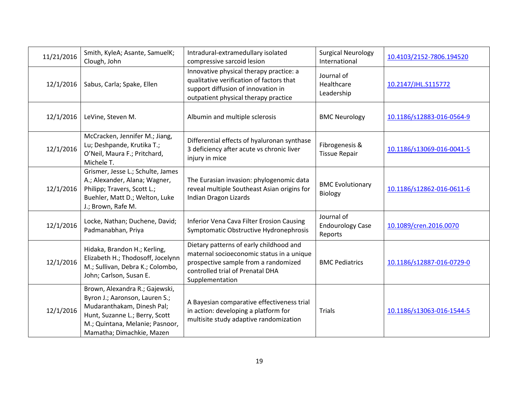| 11/21/2016 | Smith, KyleA; Asante, SamuelK;<br>Clough, John                                                                                                                                                   | Intradural-extramedullary isolated<br>compressive sarcoid lesion                                                                                                                    | <b>Surgical Neurology</b><br>International       | 10.4103/2152-7806.194520  |
|------------|--------------------------------------------------------------------------------------------------------------------------------------------------------------------------------------------------|-------------------------------------------------------------------------------------------------------------------------------------------------------------------------------------|--------------------------------------------------|---------------------------|
| 12/1/2016  | Sabus, Carla; Spake, Ellen                                                                                                                                                                       | Innovative physical therapy practice: a<br>qualitative verification of factors that<br>support diffusion of innovation in<br>outpatient physical therapy practice                   | Journal of<br>Healthcare<br>Leadership           | 10.2147/JHL.S115772       |
| 12/1/2016  | LeVine, Steven M.                                                                                                                                                                                | Albumin and multiple sclerosis                                                                                                                                                      | <b>BMC Neurology</b>                             | 10.1186/s12883-016-0564-9 |
| 12/1/2016  | McCracken, Jennifer M.; Jiang,<br>Lu; Deshpande, Krutika T.;<br>O'Neil, Maura F.; Pritchard,<br>Michele T.                                                                                       | Differential effects of hyaluronan synthase<br>3 deficiency after acute vs chronic liver<br>injury in mice                                                                          | Fibrogenesis &<br><b>Tissue Repair</b>           | 10.1186/s13069-016-0041-5 |
| 12/1/2016  | Grismer, Jesse L.; Schulte, James<br>A.; Alexander, Alana; Wagner,<br>Philipp; Travers, Scott L.;<br>Buehler, Matt D.; Welton, Luke<br>J.; Brown, Rafe M.                                        | The Eurasian invasion: phylogenomic data<br>reveal multiple Southeast Asian origins for<br>Indian Dragon Lizards                                                                    | <b>BMC Evolutionary</b><br>Biology               | 10.1186/s12862-016-0611-6 |
| 12/1/2016  | Locke, Nathan; Duchene, David;<br>Padmanabhan, Priya                                                                                                                                             | Inferior Vena Cava Filter Erosion Causing<br>Symptomatic Obstructive Hydronephrosis                                                                                                 | Journal of<br><b>Endourology Case</b><br>Reports | 10.1089/cren.2016.0070    |
| 12/1/2016  | Hidaka, Brandon H.; Kerling,<br>Elizabeth H.; Thodosoff, Jocelynn<br>M.; Sullivan, Debra K.; Colombo,<br>John; Carlson, Susan E.                                                                 | Dietary patterns of early childhood and<br>maternal socioeconomic status in a unique<br>prospective sample from a randomized<br>controlled trial of Prenatal DHA<br>Supplementation | <b>BMC Pediatrics</b>                            | 10.1186/s12887-016-0729-0 |
| 12/1/2016  | Brown, Alexandra R.; Gajewski,<br>Byron J.; Aaronson, Lauren S.;<br>Mudaranthakam, Dinesh Pal;<br>Hunt, Suzanne L.; Berry, Scott<br>M.; Quintana, Melanie; Pasnoor,<br>Mamatha; Dimachkie, Mazen | A Bayesian comparative effectiveness trial<br>in action: developing a platform for<br>multisite study adaptive randomization                                                        | <b>Trials</b>                                    | 10.1186/s13063-016-1544-5 |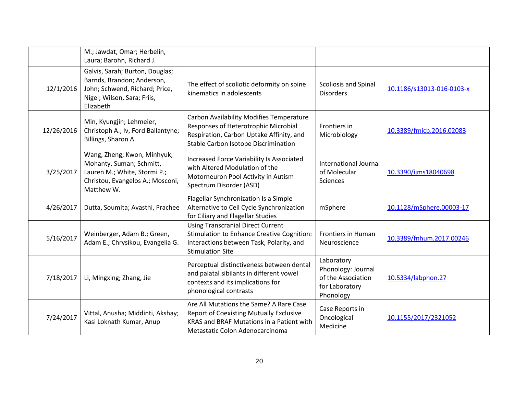|            | M.; Jawdat, Omar; Herbelin,<br>Laura; Barohn, Richard J.                                                                                    |                                                                                                                                                                           |                                                                                       |                           |
|------------|---------------------------------------------------------------------------------------------------------------------------------------------|---------------------------------------------------------------------------------------------------------------------------------------------------------------------------|---------------------------------------------------------------------------------------|---------------------------|
| 12/1/2016  | Galvis, Sarah; Burton, Douglas;<br>Barnds, Brandon; Anderson,<br>John; Schwend, Richard; Price,<br>Nigel; Wilson, Sara; Friis,<br>Elizabeth | The effect of scoliotic deformity on spine<br>kinematics in adolescents                                                                                                   | Scoliosis and Spinal<br><b>Disorders</b>                                              | 10.1186/s13013-016-0103-x |
| 12/26/2016 | Min, Kyungjin; Lehmeier,<br>Christoph A.; Iv, Ford Ballantyne;<br>Billings, Sharon A.                                                       | Carbon Availability Modifies Temperature<br>Responses of Heterotrophic Microbial<br>Respiration, Carbon Uptake Affinity, and<br>Stable Carbon Isotope Discrimination      | Frontiers in<br>Microbiology                                                          | 10.3389/fmicb.2016.02083  |
| 3/25/2017  | Wang, Zheng; Kwon, Minhyuk;<br>Mohanty, Suman; Schmitt,<br>Lauren M.; White, Stormi P.;<br>Christou, Evangelos A.; Mosconi,<br>Matthew W.   | Increased Force Variability Is Associated<br>with Altered Modulation of the<br>Motorneuron Pool Activity in Autism<br>Spectrum Disorder (ASD)                             | International Journal<br>of Molecular<br><b>Sciences</b>                              | 10.3390/ijms18040698      |
| 4/26/2017  | Dutta, Soumita; Avasthi, Prachee                                                                                                            | Flagellar Synchronization Is a Simple<br>Alternative to Cell Cycle Synchronization<br>for Ciliary and Flagellar Studies                                                   | mSphere                                                                               | 10.1128/mSphere.00003-17  |
| 5/16/2017  | Weinberger, Adam B.; Green,<br>Adam E.; Chrysikou, Evangelia G.                                                                             | <b>Using Transcranial Direct Current</b><br><b>Stimulation to Enhance Creative Cognition:</b><br>Interactions between Task, Polarity, and<br><b>Stimulation Site</b>      | Frontiers in Human<br>Neuroscience                                                    | 10.3389/fnhum.2017.00246  |
| 7/18/2017  | Li, Mingxing; Zhang, Jie                                                                                                                    | Perceptual distinctiveness between dental<br>and palatal sibilants in different vowel<br>contexts and its implications for<br>phonological contrasts                      | Laboratory<br>Phonology: Journal<br>of the Association<br>for Laboratory<br>Phonology | 10.5334/labphon.27        |
| 7/24/2017  | Vittal, Anusha; Middinti, Akshay;<br>Kasi Loknath Kumar, Anup                                                                               | Are All Mutations the Same? A Rare Case<br><b>Report of Coexisting Mutually Exclusive</b><br>KRAS and BRAF Mutations in a Patient with<br>Metastatic Colon Adenocarcinoma | Case Reports in<br>Oncological<br>Medicine                                            | 10.1155/2017/2321052      |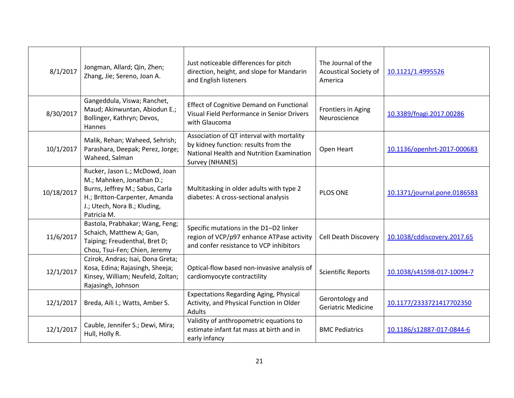| 8/1/2017   | Jongman, Allard; Qin, Zhen;<br>Zhang, Jie; Sereno, Joan A.                                                                                                                     | Just noticeable differences for pitch<br>direction, height, and slope for Mandarin<br>and English listeners                                       | The Journal of the<br><b>Acoustical Society of</b><br>America | 10.1121/1.4995526            |
|------------|--------------------------------------------------------------------------------------------------------------------------------------------------------------------------------|---------------------------------------------------------------------------------------------------------------------------------------------------|---------------------------------------------------------------|------------------------------|
| 8/30/2017  | Gangeddula, Viswa; Ranchet,<br>Maud; Akinwuntan, Abiodun E.;<br>Bollinger, Kathryn; Devos,<br>Hannes                                                                           | <b>Effect of Cognitive Demand on Functional</b><br>Visual Field Performance in Senior Drivers<br>with Glaucoma                                    | Frontiers in Aging<br>Neuroscience                            | 10.3389/fnagi.2017.00286     |
| 10/1/2017  | Malik, Rehan; Waheed, Sehrish;<br>Parashara, Deepak; Perez, Jorge;<br>Waheed, Salman                                                                                           | Association of QT interval with mortality<br>by kidney function: results from the<br>National Health and Nutrition Examination<br>Survey (NHANES) | Open Heart                                                    | 10.1136/openhrt-2017-000683  |
| 10/18/2017 | Rucker, Jason L.; McDowd, Joan<br>M.; Mahnken, Jonathan D.;<br>Burns, Jeffrey M.; Sabus, Carla<br>H.; Britton-Carpenter, Amanda<br>J.; Utech, Nora B.; Kluding,<br>Patricia M. | Multitasking in older adults with type 2<br>diabetes: A cross-sectional analysis                                                                  | PLOS ONE                                                      | 10.1371/journal.pone.0186583 |
| 11/6/2017  | Bastola, Prabhakar; Wang, Feng;<br>Schaich, Matthew A; Gan,<br>Taiping; Freudenthal, Bret D;<br>Chou, Tsui-Fen; Chien, Jeremy                                                  | Specific mutations in the D1-D2 linker<br>region of VCP/p97 enhance ATPase activity<br>and confer resistance to VCP inhibitors                    | Cell Death Discovery                                          | 10.1038/cddiscovery.2017.65  |
| 12/1/2017  | Czirok, Andras; Isai, Dona Greta;<br>Kosa, Edina; Rajasingh, Sheeja;<br>Kinsey, William; Neufeld, Zoltan;<br>Rajasingh, Johnson                                                | Optical-flow based non-invasive analysis of<br>cardiomyocyte contractility                                                                        | <b>Scientific Reports</b>                                     | 10.1038/s41598-017-10094-7   |
| 12/1/2017  | Breda, Aili I.; Watts, Amber S.                                                                                                                                                | <b>Expectations Regarding Aging, Physical</b><br>Activity, and Physical Function in Older<br><b>Adults</b>                                        | Gerontology and<br><b>Geriatric Medicine</b>                  | 10.1177/2333721417702350     |
| 12/1/2017  | Cauble, Jennifer S.; Dewi, Mira;<br>Hull, Holly R.                                                                                                                             | Validity of anthropometric equations to<br>estimate infant fat mass at birth and in<br>early infancy                                              | <b>BMC Pediatrics</b>                                         | 10.1186/s12887-017-0844-6    |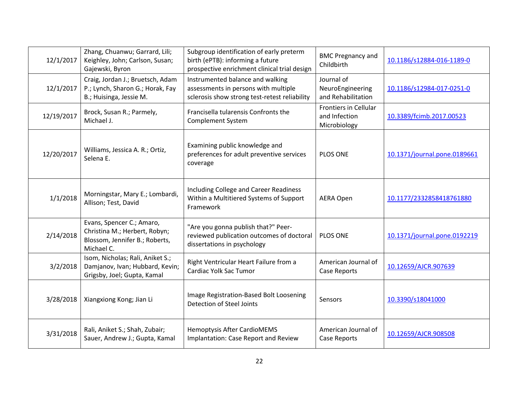| 12/1/2017  | Zhang, Chuanwu; Garrard, Lili;<br>Keighley, John; Carlson, Susan;<br>Gajewski, Byron                       | Subgroup identification of early preterm<br>birth (ePTB): informing a future<br>prospective enrichment clinical trial design | <b>BMC Pregnancy and</b><br>Childbirth                        | 10.1186/s12884-016-1189-0    |
|------------|------------------------------------------------------------------------------------------------------------|------------------------------------------------------------------------------------------------------------------------------|---------------------------------------------------------------|------------------------------|
| 12/1/2017  | Craig, Jordan J.; Bruetsch, Adam<br>P.; Lynch, Sharon G.; Horak, Fay<br>B.; Huisinga, Jessie M.            | Instrumented balance and walking<br>assessments in persons with multiple<br>sclerosis show strong test-retest reliability    | Journal of<br>NeuroEngineering<br>and Rehabilitation          | 10.1186/s12984-017-0251-0    |
| 12/19/2017 | Brock, Susan R.; Parmely,<br>Michael J.                                                                    | Francisella tularensis Confronts the<br><b>Complement System</b>                                                             | <b>Frontiers in Cellular</b><br>and Infection<br>Microbiology | 10.3389/fcimb.2017.00523     |
| 12/20/2017 | Williams, Jessica A. R.; Ortiz,<br>Selena E.                                                               | Examining public knowledge and<br>preferences for adult preventive services<br>coverage                                      | <b>PLOS ONE</b>                                               | 10.1371/journal.pone.0189661 |
| 1/1/2018   | Morningstar, Mary E.; Lombardi,<br>Allison; Test, David                                                    | Including College and Career Readiness<br>Within a Multitiered Systems of Support<br>Framework                               | <b>AERA Open</b>                                              | 10.1177/2332858418761880     |
| 2/14/2018  | Evans, Spencer C.; Amaro,<br>Christina M.; Herbert, Robyn;<br>Blossom, Jennifer B.; Roberts,<br>Michael C. | "Are you gonna publish that?" Peer-<br>reviewed publication outcomes of doctoral<br>dissertations in psychology              | <b>PLOS ONE</b>                                               | 10.1371/journal.pone.0192219 |
| 3/2/2018   | Isom, Nicholas; Rali, Aniket S.;<br>Damjanov, Ivan; Hubbard, Kevin;<br>Grigsby, Joel; Gupta, Kamal         | Right Ventricular Heart Failure from a<br>Cardiac Yolk Sac Tumor                                                             | American Journal of<br>Case Reports                           | 10.12659/AJCR.907639         |
| 3/28/2018  | Xiangxiong Kong; Jian Li                                                                                   | Image Registration-Based Bolt Loosening<br>Detection of Steel Joints                                                         | Sensors                                                       | 10.3390/s18041000            |
| 3/31/2018  | Rali, Aniket S.; Shah, Zubair;<br>Sauer, Andrew J.; Gupta, Kamal                                           | Hemoptysis After CardioMEMS<br>Implantation: Case Report and Review                                                          | American Journal of<br>Case Reports                           | 10.12659/AJCR.908508         |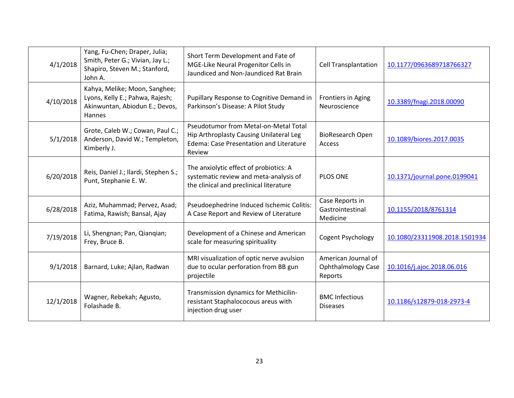| 4/1/2018  | Yang, Fu-Chen; Draper, Julia;<br>Smith, Peter G.; Vivian, Jay L.;<br>Shapiro, Steven M.; Stanford,<br>John A.       | Short Term Development and Fate of<br>MGE-Like Neural Progenitor Cells in<br>Jaundiced and Non-Jaundiced Rat Brain                    | <b>Cell Transplantation</b>                          | 10.1177/0963689718766327      |
|-----------|---------------------------------------------------------------------------------------------------------------------|---------------------------------------------------------------------------------------------------------------------------------------|------------------------------------------------------|-------------------------------|
| 4/10/2018 | Kahya, Melike; Moon, Sanghee;<br>Lyons, Kelly E.; Pahwa, Rajesh;<br>Akinwuntan, Abiodun E.; Devos,<br><b>Hannes</b> | Pupillary Response to Cognitive Demand in<br>Parkinson's Disease: A Pilot Study                                                       | Frontiers in Aging<br>Neuroscience                   | 10.3389/fnagi.2018.00090      |
| 5/1/2018  | Grote, Caleb W.; Cowan, Paul C.;<br>Anderson, David W.; Templeton,<br>Kimberly J.                                   | Pseudotumor from Metal-on-Metal Total<br>Hip Arthroplasty Causing Unilateral Leg<br>Edema: Case Presentation and Literature<br>Review | <b>BioResearch Open</b><br>Access                    | 10.1089/biores.2017.0035      |
| 6/20/2018 | Reis, Daniel J.; Ilardi, Stephen S.;<br>Punt, Stephanie E. W.                                                       | The anxiolytic effect of probiotics: A<br>systematic review and meta-analysis of<br>the clinical and preclinical literature           | <b>PLOS ONE</b>                                      | 10.1371/journal.pone.0199041  |
| 6/28/2018 | Aziz, Muhammad; Pervez, Asad;<br>Fatima, Rawish; Bansal, Ajay                                                       | Pseudoephedrine Induced Ischemic Colitis:<br>A Case Report and Review of Literature                                                   | Case Reports in<br>Gastrointestinal<br>Medicine      | 10.1155/2018/8761314          |
| 7/19/2018 | Li, Shengnan; Pan, Qianqian;<br>Frey, Bruce B.                                                                      | Development of a Chinese and American<br>scale for measuring spirituality                                                             | Cogent Psychology                                    | 10.1080/23311908.2018.1501934 |
| 9/1/2018  | Barnard, Luke; Ajlan, Radwan                                                                                        | MRI visualization of optic nerve avulsion<br>due to ocular perforation from BB gun<br>projectile                                      | American Journal of<br>Ophthalmology Case<br>Reports | 10.1016/j.ajoc.2018.06.016    |
| 12/1/2018 | Wagner, Rebekah; Agusto,<br>Folashade B.                                                                            | Transmission dynamics for Methicilin-<br>resistant Staphalococous areus with<br>injection drug user                                   | <b>BMC Infectious</b><br><b>Diseases</b>             | 10.1186/s12879-018-2973-4     |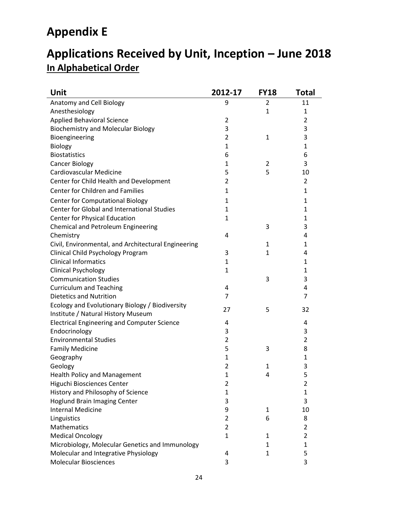# **Appendix E**

# **Applications Received by Unit, Inception – June 2018 In Alphabetical Order**

| Unit                                                | 2012-17        | <b>FY18</b>  | <b>Total</b>   |
|-----------------------------------------------------|----------------|--------------|----------------|
| Anatomy and Cell Biology                            | 9              | 2            | 11             |
| Anesthesiology                                      |                | $\mathbf{1}$ | 1              |
| <b>Applied Behavioral Science</b>                   | 2              |              | $\overline{2}$ |
| <b>Biochemistry and Molecular Biology</b>           | 3              |              | 3              |
| Bioengineering                                      | 2              | $\mathbf{1}$ | 3              |
| <b>Biology</b>                                      | 1              |              | 1              |
| <b>Biostatistics</b>                                | 6              |              | 6              |
| <b>Cancer Biology</b>                               | 1              | 2            | 3              |
| Cardiovascular Medicine                             | 5              | 5            | 10             |
| Center for Child Health and Development             | $\overline{2}$ |              | 2              |
| <b>Center for Children and Families</b>             | 1              |              | 1              |
| <b>Center for Computational Biology</b>             | 1              |              | 1              |
| Center for Global and International Studies         | 1              |              | 1              |
| Center for Physical Education                       | 1              |              | $\mathbf{1}$   |
| Chemical and Petroleum Engineering                  |                | 3            | 3              |
| Chemistry                                           | 4              |              | 4              |
| Civil, Environmental, and Architectural Engineering |                | 1            | $\mathbf{1}$   |
| Clinical Child Psychology Program                   | 3              | 1            | 4              |
| <b>Clinical Informatics</b>                         | 1              |              | 1              |
| <b>Clinical Psychology</b>                          | 1              |              | 1              |
| <b>Communication Studies</b>                        |                | 3            | 3              |
| <b>Curriculum and Teaching</b>                      | 4              |              | 4              |
| <b>Dietetics and Nutrition</b>                      | 7              |              | $\overline{7}$ |
| Ecology and Evolutionary Biology / Biodiversity     | 27             |              |                |
| Institute / Natural History Museum                  |                | 5            | 32             |
| <b>Electrical Engineering and Computer Science</b>  | 4              |              | 4              |
| Endocrinology                                       | 3              |              | 3              |
| <b>Environmental Studies</b>                        | 2              |              | $\overline{2}$ |
| <b>Family Medicine</b>                              | 5              | 3            | 8              |
| Geography                                           | 1              |              | 1              |
| Geology                                             | 2              | 1            | 3              |
| <b>Health Policy and Management</b>                 | 1              | 4            | 5              |
| Higuchi Biosciences Center                          | 2              |              | $\overline{2}$ |
| History and Philosophy of Science                   | 1              |              | $\mathbf{1}$   |
| <b>Hoglund Brain Imaging Center</b>                 | 3              |              | 3              |
| <b>Internal Medicine</b>                            | 9              | $\mathbf{1}$ | 10             |
| Linguistics                                         | 2              | 6            | 8              |
| Mathematics                                         | $\overline{2}$ |              | $\overline{2}$ |
| <b>Medical Oncology</b>                             | $\mathbf 1$    | 1            | $\overline{2}$ |
| Microbiology, Molecular Genetics and Immunology     |                | 1            | $\mathbf{1}$   |
| Molecular and Integrative Physiology                | 4              | 1            | 5              |
| <b>Molecular Biosciences</b>                        | 3              |              | 3              |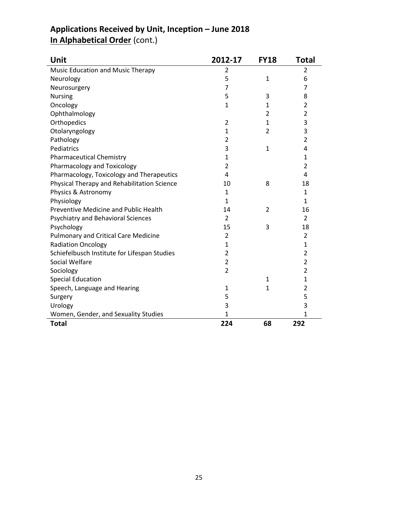### **Applications Received by Unit, Inception – June 2018 In Alphabetical Order** (cont.)

| Unit                                         | 2012-17        | <b>FY18</b>    | <b>Total</b>   |
|----------------------------------------------|----------------|----------------|----------------|
| <b>Music Education and Music Therapy</b>     | 2              |                | 2              |
| Neurology                                    | 5              | 1              | 6              |
| Neurosurgery                                 | 7              |                | 7              |
| <b>Nursing</b>                               | 5              | 3              | 8              |
| Oncology                                     | $\mathbf{1}$   | 1              | $\overline{2}$ |
| Ophthalmology                                |                | $\overline{2}$ | $\overline{2}$ |
| Orthopedics                                  | 2              | $\mathbf{1}$   | 3              |
| Otolaryngology                               | 1              | $\overline{2}$ | 3              |
| Pathology                                    | 2              |                | $\overline{2}$ |
| Pediatrics                                   | 3              | $\mathbf{1}$   | 4              |
| <b>Pharmaceutical Chemistry</b>              | 1              |                | 1              |
| Pharmacology and Toxicology                  | 2              |                | $\overline{2}$ |
| Pharmacology, Toxicology and Therapeutics    | 4              |                | 4              |
| Physical Therapy and Rehabilitation Science  | 10             | 8              | 18             |
| Physics & Astronomy                          | 1              |                | 1              |
| Physiology                                   | $\mathbf{1}$   |                | $\mathbf{1}$   |
| <b>Preventive Medicine and Public Health</b> | 14             | $\mathfrak{p}$ | 16             |
| <b>Psychiatry and Behavioral Sciences</b>    | $\overline{2}$ |                | $\overline{2}$ |
| Psychology                                   | 15             | 3              | 18             |
| <b>Pulmonary and Critical Care Medicine</b>  | 2              |                | $\overline{2}$ |
| <b>Radiation Oncology</b>                    | $\mathbf{1}$   |                | 1              |
| Schiefelbusch Institute for Lifespan Studies | 2              |                | $\overline{2}$ |
| Social Welfare                               | $\overline{2}$ |                | $\overline{2}$ |
| Sociology                                    | $\overline{2}$ |                | $\overline{2}$ |
| <b>Special Education</b>                     |                | 1              | 1              |
| Speech, Language and Hearing                 | 1              | $\mathbf{1}$   | $\overline{2}$ |
| Surgery                                      | 5              |                | 5              |
| Urology                                      | 3              |                | 3              |
| Women, Gender, and Sexuality Studies         | 1              |                | 1              |
| <b>Total</b>                                 | 224            | 68             | 292            |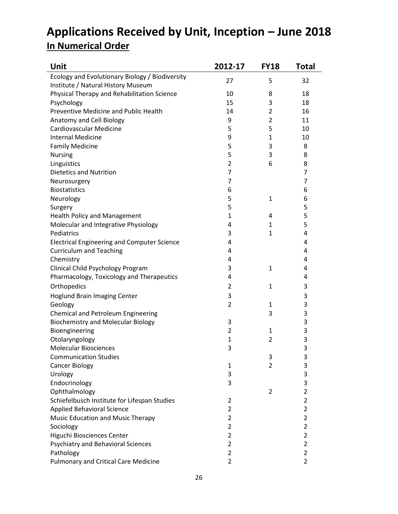# **Applications Received by Unit, Inception – June 2018 In Numerical Order**

| 2012-17        | <b>FY18</b>    | Total          |
|----------------|----------------|----------------|
|                |                | 32             |
|                |                |                |
| 10             | 8              | 18             |
| 15             | 3              | 18             |
| 14             | 2              | 16             |
| 9              | $\overline{2}$ | 11             |
|                |                | 10             |
| 9              | 1              | 10             |
|                |                | 8              |
| 5              | 3              | 8              |
| $\overline{2}$ | 6              | 8              |
| $\overline{7}$ |                | $\overline{7}$ |
| 7              |                | $\overline{7}$ |
| 6              |                | 6              |
| 5              | 1              | 6              |
| 5              |                | 5              |
| 1              | 4              | 5              |
| 4              | 1              | 5              |
| 3              | 1              | 4              |
| 4              |                | 4              |
| 4              |                | 4              |
| 4              |                | 4              |
| 3              | 1              | 4              |
| 4              |                | 4              |
| $\overline{2}$ | 1              | 3              |
| 3              |                | 3              |
| $\overline{2}$ | 1              | 3              |
|                | 3              | 3              |
| 3              |                | 3              |
| $\overline{2}$ | 1              | 3              |
| $\mathbf 1$    | 2              | 3              |
| 3              |                | 3              |
|                | 3              | 3              |
| 1              | 2              | 3              |
| 3              |                | 3              |
| 3              |                | 3              |
|                | $\overline{2}$ | $\overline{2}$ |
| 2              |                | $\overline{2}$ |
| $\overline{2}$ |                | $\overline{2}$ |
| $\overline{2}$ |                | $\overline{2}$ |
| $\overline{2}$ |                | $\overline{2}$ |
| $\overline{2}$ |                | $\overline{2}$ |
| $\overline{2}$ |                | $\overline{2}$ |
| $\overline{2}$ |                | $\overline{2}$ |
| $\overline{2}$ |                | 2              |
|                | 27<br>5<br>5   | 5<br>5<br>3    |